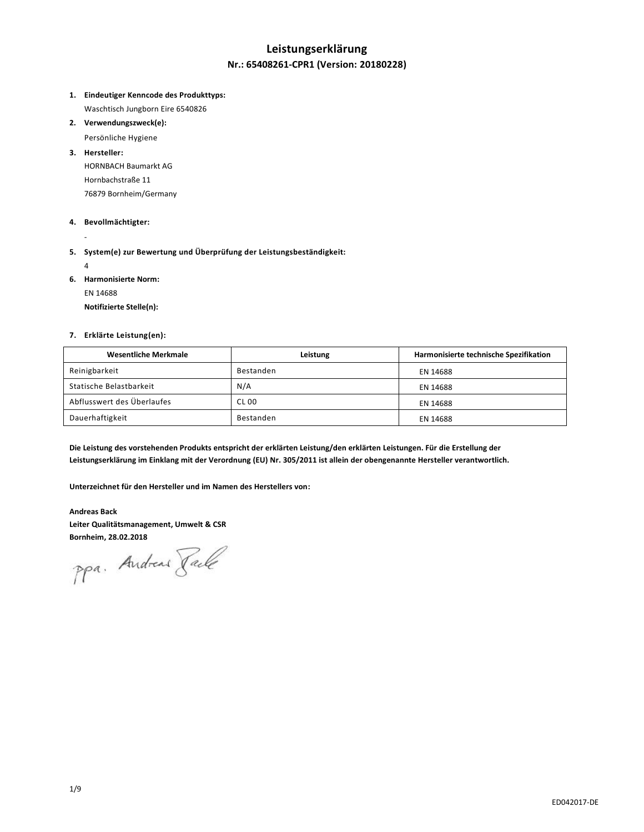# **Leistungserklärung**

#### **Nr.: 65408261-CPR1 (Version: 20180228)**

- **1. Eindeutiger Kenncode des Produkttyps:** Waschtisch Jungborn Eire 6540826
- **2. Verwendungszweck(e):**
	- Persönliche Hygiene
- **3. Hersteller:**

HORNBACH Baumarkt AG Hornbachstraße 11 76879 Bornheim/Germany

#### **4. Bevollmächtigter:**

- **5. System(e) zur Bewertung und Überprüfung der Leistungsbeständigkeit:**
	- 4

-

- **6. Harmonisierte Norm:**
	- EN 14688

**Notifizierte Stelle(n):**

#### **7. Erklärte Leistung(en):**

| <b>Wesentliche Merkmale</b> | Leistung     | Harmonisierte technische Spezifikation |
|-----------------------------|--------------|----------------------------------------|
| Reinigbarkeit               | Bestanden    | EN 14688                               |
| Statische Belastbarkeit     | N/A          | EN 14688                               |
| Abflusswert des Überlaufes  | <b>CL 00</b> | EN 14688                               |
| Dauerhaftigkeit             | Bestanden    | EN 14688                               |

**Die Leistung des vorstehenden Produkts entspricht der erklärten Leistung/den erklärten Leistungen. Für die Erstellung der Leistungserklärung im Einklang mit der Verordnung (EU) Nr. 305/2011 ist allein der obengenannte Hersteller verantwortlich.**

**Unterzeichnet für den Hersteller und im Namen des Herstellers von:**

**Andreas Back Leiter Qualitätsmanagement, Umwelt & CSR**

**Bornheim, 28.02.2018**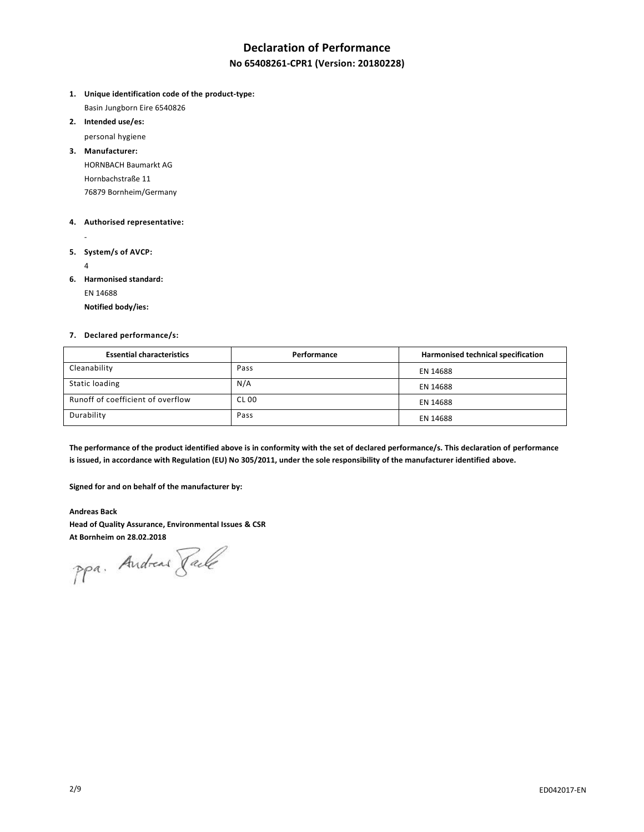## **Declaration of Performance**

#### **No 65408261-CPR1 (Version: 20180228)**

- **1. Unique identification code of the product-type:** Basin Jungborn Eire 6540826
- **2. Intended use/es:**

personal hygiene

**3. Manufacturer:** HORNBACH Baumarkt AG Hornbachstraße 11 76879 Bornheim/Germany

#### **4. Authorised representative:**

- -
- **5. System/s of AVCP:**
	- 4
- **6. Harmonised standard:**

EN 14688

**Notified body/ies:**

#### **7. Declared performance/s:**

| <b>Essential characteristics</b>  | Performance  | Harmonised technical specification |
|-----------------------------------|--------------|------------------------------------|
| Cleanability                      | Pass         | EN 14688                           |
| Static loading                    | N/A          | EN 14688                           |
| Runoff of coefficient of overflow | <b>CL 00</b> | EN 14688                           |
| Durability                        | Pass         | EN 14688                           |

**The performance of the product identified above is in conformity with the set of declared performance/s. This declaration of performance is issued, in accordance with Regulation (EU) No 305/2011, under the sole responsibility of the manufacturer identified above.**

**Signed for and on behalf of the manufacturer by:**

**Andreas Back Head of Quality Assurance, Environmental Issues & CSR At Bornheim on 28.02.2018**

ppa. Andreas Face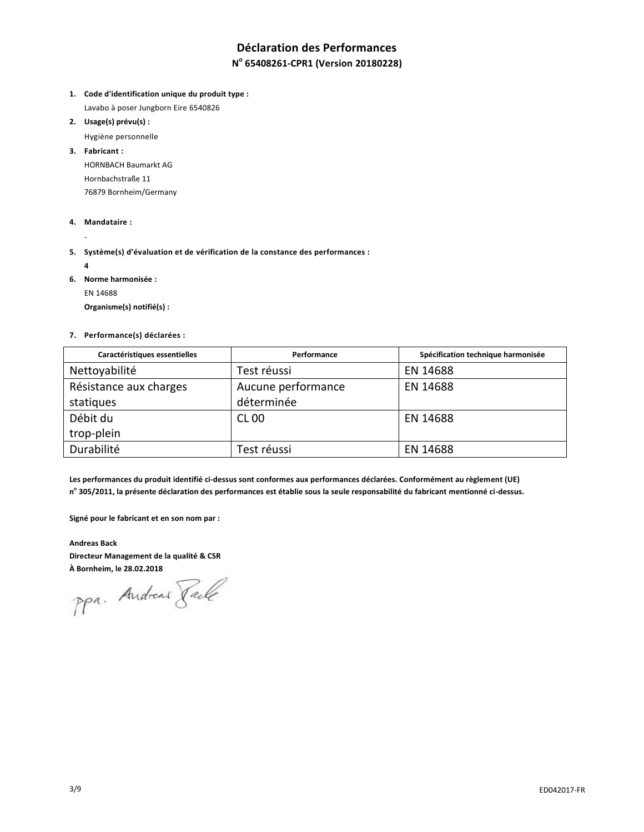# **Déclaration des Performances**

## **N o 65408261-CPR1 (Version 20180228)**

- **1. Code d'identification unique du produit type :** Lavabo à poser Jungborn Eire 6540826
- **2. Usage(s) prévu(s) :**
	- Hygiène personnelle
- **3. Fabricant :** HORNBACH Baumarkt AG Hornbachstraße 11 76879 Bornheim/Germany
- **4. Mandataire :**
- **5. Système(s) d'évaluation et de vérification de la constance des performances :**
	- **4**

-

- **6. Norme harmonisée :**
	- EN 14688

**Organisme(s) notifié(s) :**

**7. Performance(s) déclarées :**

| Caractéristiques essentielles | Performance        | Spécification technique harmonisée |
|-------------------------------|--------------------|------------------------------------|
| Nettoyabilité                 | Test réussi        | EN 14688                           |
| Résistance aux charges        | Aucune performance | EN 14688                           |
| statiques                     | déterminée         |                                    |
| Débit du                      | <b>CL 00</b>       | EN 14688                           |
| trop-plein                    |                    |                                    |
| Durabilité                    | Test réussi        | EN 14688                           |

**Les performances du produit identifié ci-dessus sont conformes aux performances déclarées. Conformément au règlement (UE) n o 305/2011, la présente déclaration des performances est établie sous la seule responsabilité du fabricant mentionné ci-dessus.**

**Signé pour le fabricant et en son nom par :**

**Andreas Back Directeur Management de la qualité & CSR**

**À Bornheim, le 28.02.2018**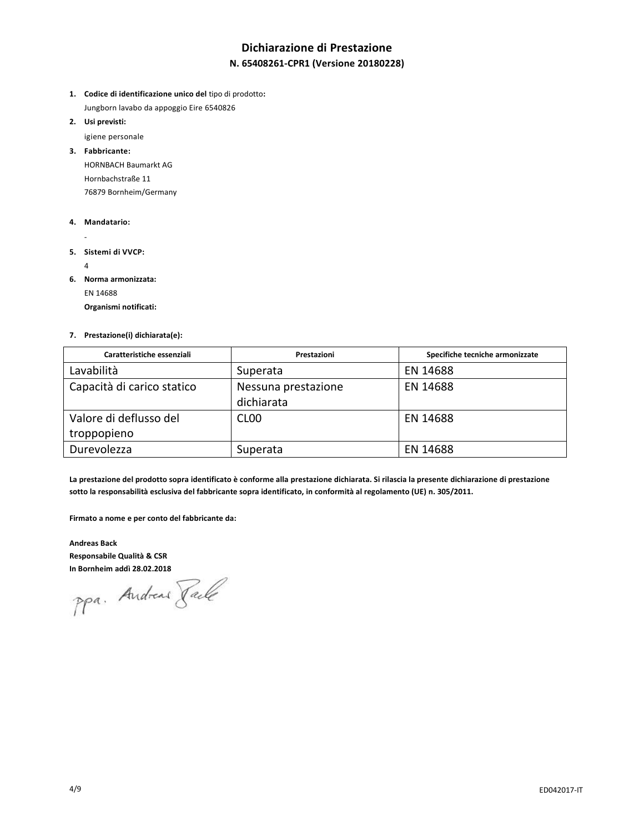## **Dichiarazione di Prestazione**

## **N. 65408261-CPR1 (Versione 20180228)**

- **1. Codice di identificazione unico del** tipo di prodotto**:** Jungborn lavabo da appoggio Eire 6540826
- **2. Usi previsti:**

igiene personale

**3. Fabbricante:** HORNBACH Baumarkt AG Hornbachstraße 11 76879 Bornheim/Germany

- **4. Mandatario:**
	- -
- **5. Sistemi di VVCP:**
	- 4
- **6. Norma armonizzata:**
	- EN 14688

**Organismi notificati:**

#### **7. Prestazione(i) dichiarata(e):**

| Caratteristiche essenziali | Prestazioni         | Specifiche tecniche armonizzate |
|----------------------------|---------------------|---------------------------------|
| Lavabilità                 | Superata            | EN 14688                        |
| Capacità di carico statico | Nessuna prestazione | EN 14688                        |
|                            | dichiarata          |                                 |
| Valore di deflusso del     | CL <sub>00</sub>    | EN 14688                        |
| troppopieno                |                     |                                 |
| Durevolezza                | Superata            | EN 14688                        |

**La prestazione del prodotto sopra identificato è conforme alla prestazione dichiarata. Si rilascia la presente dichiarazione di prestazione sotto la responsabilità esclusiva del fabbricante sopra identificato, in conformità al regolamento (UE) n. 305/2011.**

**Firmato a nome e per conto del fabbricante da:**

**Andreas Back Responsabile Qualità & CSR**

**In Bornheim addì 28.02.2018**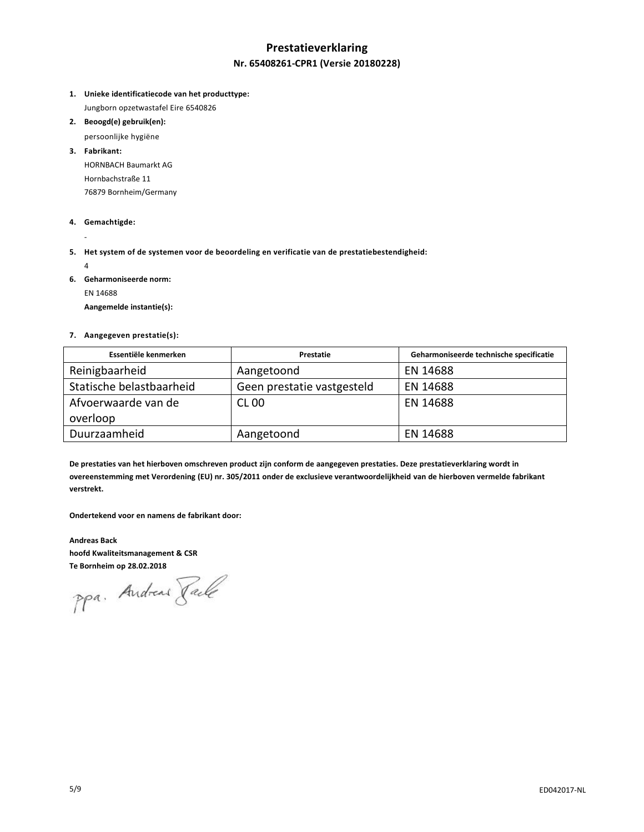## **Prestatieverklaring Nr. 65408261-CPR1 (Versie 20180228)**

- **1. Unieke identificatiecode van het producttype:** Jungborn opzetwastafel Eire 6540826
- **2. Beoogd(e) gebruik(en):**
	- persoonlijke hygiëne
- **3. Fabrikant:** HORNBACH Baumarkt AG Hornbachstraße 11 76879 Bornheim/Germany
- **4. Gemachtigde:**
- **5. Het system of de systemen voor de beoordeling en verificatie van de prestatiebestendigheid:**
	- 4

-

**6. Geharmoniseerde norm:**

EN 14688

**Aangemelde instantie(s):**

#### **7. Aangegeven prestatie(s):**

| Essentiële kenmerken     | Prestatie                  | Geharmoniseerde technische specificatie |
|--------------------------|----------------------------|-----------------------------------------|
| Reinigbaarheid           | Aangetoond                 | EN 14688                                |
| Statische belastbaarheid | Geen prestatie vastgesteld | EN 14688                                |
| Afvoerwaarde van de      | <b>CL 00</b>               | EN 14688                                |
| overloop                 |                            |                                         |
| Duurzaamheid             | Aangetoond                 | EN 14688                                |

**De prestaties van het hierboven omschreven product zijn conform de aangegeven prestaties. Deze prestatieverklaring wordt in overeenstemming met Verordening (EU) nr. 305/2011 onder de exclusieve verantwoordelijkheid van de hierboven vermelde fabrikant verstrekt.**

**Ondertekend voor en namens de fabrikant door:**

**Andreas Back hoofd Kwaliteitsmanagement & CSR**

**Te Bornheim op 28.02.2018**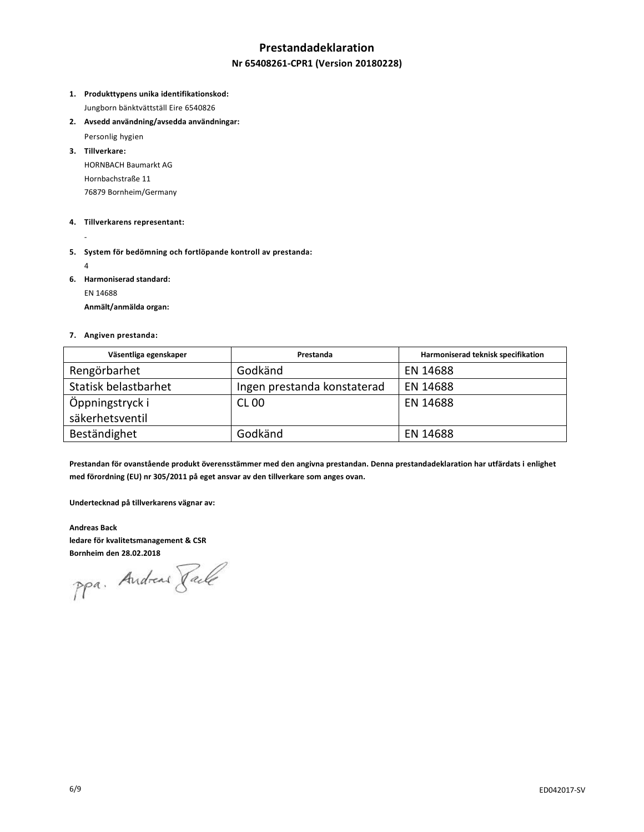## **Prestandadeklaration**

#### **Nr 65408261-CPR1 (Version 20180228)**

**1. Produkttypens unika identifikationskod:**

Jungborn bänktvättställ Eire 6540826

**2. Avsedd användning/avsedda användningar:**

Personlig hygien

**3. Tillverkare:** HORNBACH Baumarkt AG Hornbachstraße 11 76879 Bornheim/Germany

#### **4. Tillverkarens representant:**

- **5. System för bedömning och fortlöpande kontroll av prestanda:**
	- 4

-

**6. Harmoniserad standard:**

EN 14688

**Anmält/anmälda organ:**

#### **7. Angiven prestanda:**

| Väsentliga egenskaper | Prestanda                   | Harmoniserad teknisk specifikation |
|-----------------------|-----------------------------|------------------------------------|
| Rengörbarhet          | Godkänd                     | EN 14688                           |
| Statisk belastbarhet  | Ingen prestanda konstaterad | EN 14688                           |
| Öppningstryck i       | <b>CL 00</b>                | EN 14688                           |
| säkerhetsventil       |                             |                                    |
| Beständighet          | Godkänd                     | EN 14688                           |

**Prestandan för ovanstående produkt överensstämmer med den angivna prestandan. Denna prestandadeklaration har utfärdats i enlighet med förordning (EU) nr 305/2011 på eget ansvar av den tillverkare som anges ovan.**

**Undertecknad på tillverkarens vägnar av:**

**Andreas Back ledare för kvalitetsmanagement & CSR**

**Bornheim den 28.02.2018**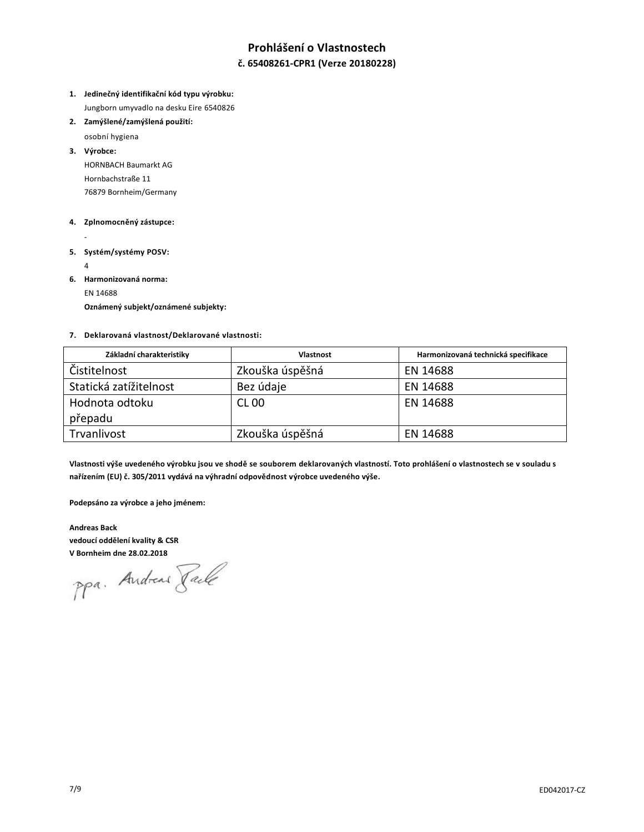## **Prohlášení o Vlastnostech**

#### **č. 65408261-CPR1 (Verze 20180228)**

- **1. Jedinečný identifikační kód typu výrobku:** Jungborn umyvadlo na desku Eire 6540826
- **2. Zamýšlené/zamýšlená použití:**
	- osobní hygiena

**3. Výrobce:** HORNBACH Baumarkt AG Hornbachstraße 11 76879 Bornheim/Germany

#### **4. Zplnomocněný zástupce:**

- **5. Systém/systémy POSV:**
	- 4
- **6. Harmonizovaná norma:**

EN 14688

**Oznámený subjekt/oznámené subjekty:**

#### **7. Deklarovaná vlastnost/Deklarované vlastnosti:**

| Základní charakteristiky | <b>Vlastnost</b> | Harmonizovaná technická specifikace |
|--------------------------|------------------|-------------------------------------|
| Čistitelnost             | Zkouška úspěšná  | EN 14688                            |
| Statická zatížitelnost   | Bez údaje        | EN 14688                            |
| Hodnota odtoku           | <b>CL 00</b>     | EN 14688                            |
| přepadu                  |                  |                                     |
| Trvanlivost              | Zkouška úspěšná  | EN 14688                            |

**Vlastnosti výše uvedeného výrobku jsou ve shodě se souborem deklarovaných vlastností. Toto prohlášení o vlastnostech se v souladu s nařízením (EU) č. 305/2011 vydává na výhradní odpovědnost výrobce uvedeného výše.**

**Podepsáno za výrobce a jeho jménem:**

**Andreas Back vedoucí oddělení kvality & CSR**

**V Bornheim dne 28.02.2018**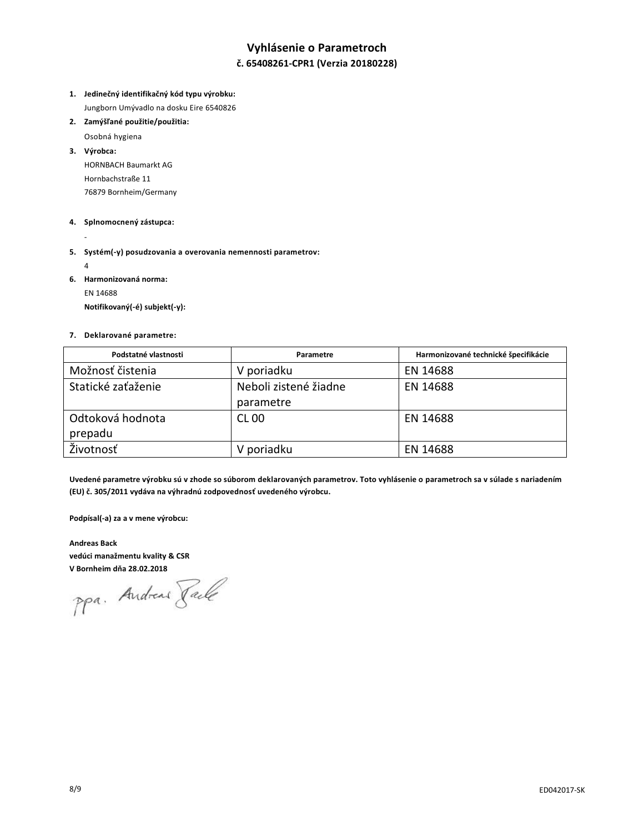## **Vyhlásenie o Parametroch**

### **č. 65408261-CPR1 (Verzia 20180228)**

- **1. Jedinečný identifikačný kód typu výrobku:** Jungborn Umývadlo na dosku Eire 6540826
- **2. Zamýšľané použitie/použitia:**
	- Osobná hygiena
- **3. Výrobca:** HORNBACH Baumarkt AG Hornbachstraße 11 76879 Bornheim/Germany
- **4. Splnomocnený zástupca:**
- **5. Systém(-y) posudzovania a overovania nemennosti parametrov:**
	- 4

-

- **6. Harmonizovaná norma:**
	- EN 14688

**Notifikovaný(-é) subjekt(-y):**

#### **7. Deklarované parametre:**

| Podstatné vlastnosti | Parametre             | Harmonizované technické špecifikácie |
|----------------------|-----------------------|--------------------------------------|
| Možnosť čistenia     | V poriadku            | EN 14688                             |
| Statické zaťaženie   | Neboli zistené žiadne | EN 14688                             |
|                      | parametre             |                                      |
| Odtoková hodnota     | <b>CL 00</b>          | EN 14688                             |
| prepadu              |                       |                                      |
| Životnosť            | V poriadku            | EN 14688                             |

**Uvedené parametre výrobku sú v zhode so súborom deklarovaných parametrov. Toto vyhlásenie o parametroch sa v súlade s nariadením (EU) č. 305/2011 vydáva na výhradnú zodpovednosť uvedeného výrobcu.**

**Podpísal(-a) za a v mene výrobcu:**

**Andreas Back vedúci manažmentu kvality & CSR**

**V Bornheim dňa 28.02.2018**